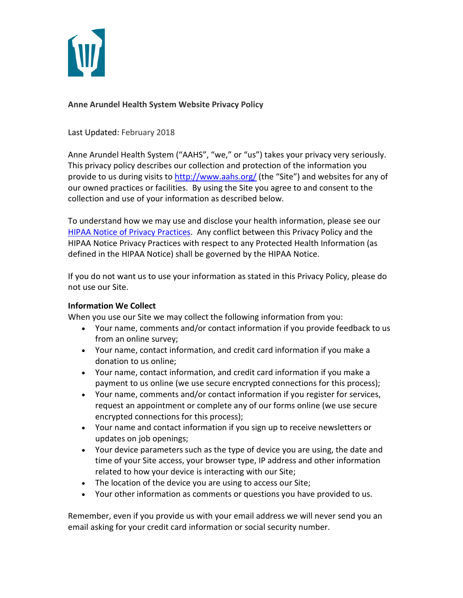

# **Anne Arundel Health System Website Privacy Policy**

Last Updated: February 2018

Anne Arundel Health System ("AAHS", "we," or "us") takes your privacy very seriously. This privacy policy describes our collection and protection of the information you provide to us during visits to<http://www.aahs.org/> (the "Site") and websites for any of our owned practices or facilities. By using the Site you agree to and consent to the collection and use of your information as described below.

To understand how we may use and disclose your health information, please see our [HIPAA Notice of Privacy Practices.](http://www.aahs.org/aboutus/privacy.php) Any conflict between this Privacy Policy and the HIPAA Notice Privacy Practices with respect to any Protected Health Information (as defined in the HIPAA Notice) shall be governed by the HIPAA Notice.

If you do not want us to use your information as stated in this Privacy Policy, please do not use our Site.

# **Information We Collect**

When you use our Site we may collect the following information from you:

- Your name, comments and/or contact information if you provide feedback to us from an online survey;
- Your name, contact information, and credit card information if you make a donation to us online;
- Your name, contact information, and credit card information if you make a payment to us online (we use secure encrypted connections for this process);
- Your name, comments and/or contact information if you register for services, request an appointment or complete any of our forms online (we use secure encrypted connections for this process);
- Your name and contact information if you sign up to receive newsletters or updates on job openings;
- Your device parameters such as the type of device you are using, the date and time of your Site access, your browser type, IP address and other information related to how your device is interacting with our Site;
- The location of the device you are using to access our Site;
- Your other information as comments or questions you have provided to us.

Remember, even if you provide us with your email address we will never send you an email asking for your credit card information or social security number.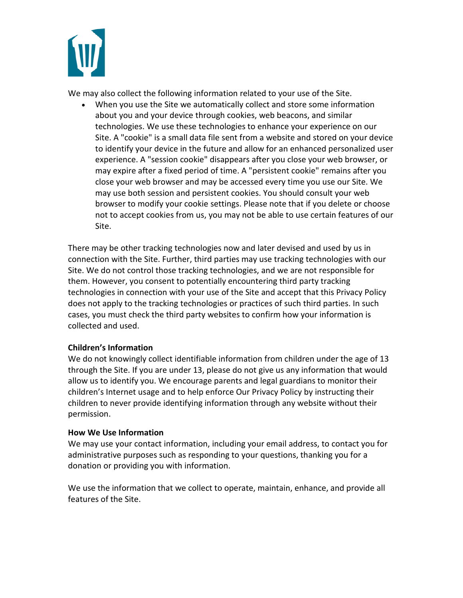

We may also collect the following information related to your use of the Site.

When you use the Site we automatically collect and store some information about you and your device through cookies, web beacons, and similar technologies. We use these technologies to enhance your experience on our Site. A "cookie" is a small data file sent from a website and stored on your device to identify your device in the future and allow for an enhanced personalized user experience. A "session cookie" disappears after you close your web browser, or may expire after a fixed period of time. A "persistent cookie" remains after you close your web browser and may be accessed every time you use our Site. We may use both session and persistent cookies. You should consult your web browser to modify your cookie settings. Please note that if you delete or choose not to accept cookies from us, you may not be able to use certain features of our Site.

There may be other tracking technologies now and later devised and used by us in connection with the Site. Further, third parties may use tracking technologies with our Site. We do not control those tracking technologies, and we are not responsible for them. However, you consent to potentially encountering third party tracking technologies in connection with your use of the Site and accept that this Privacy Policy does not apply to the tracking technologies or practices of such third parties. In such cases, you must check the third party websites to confirm how your information is collected and used.

# **Children's Information**

We do not knowingly collect identifiable information from children under the age of 13 through the Site. If you are under 13, please do not give us any information that would allow us to identify you. We encourage parents and legal guardians to monitor their children's Internet usage and to help enforce Our Privacy Policy by instructing their children to never provide identifying information through any website without their permission.

#### **How We Use Information**

We may use your contact information, including your email address, to contact you for administrative purposes such as responding to your questions, thanking you for a donation or providing you with information.

We use the information that we collect to operate, maintain, enhance, and provide all features of the Site.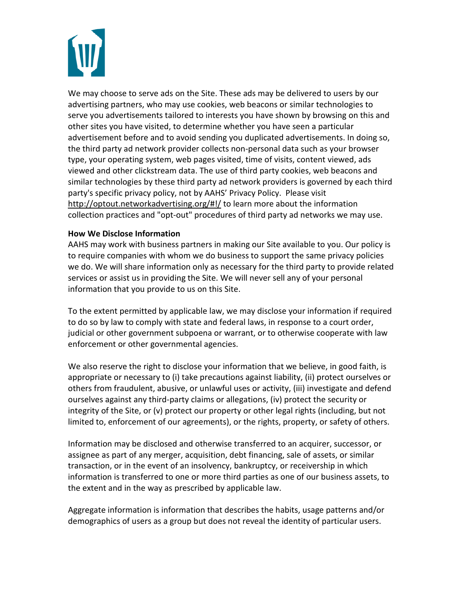We may choose to serve ads on the Site. These ads may be delivered to users by our advertising partners, who may use cookies, web beacons or similar technologies to serve you advertisements tailored to interests you have shown by browsing on this and other sites you have visited, to determine whether you have seen a particular advertisement before and to avoid sending you duplicated advertisements. In doing so, the third party ad network provider collects non-personal data such as your browser type, your operating system, web pages visited, time of visits, content viewed, ads viewed and other clickstream data. The use of third party cookies, web beacons and similar technologies by these third party ad network providers is governed by each third party's specific privacy policy, not by AAHS' Privacy Policy. Please visit <http://optout.networkadvertising.org/#!/> to learn more about the information collection practices and "opt-out" procedures of third party ad networks we may use.

# **How We Disclose Information**

AAHS may work with business partners in making our Site available to you. Our policy is to require companies with whom we do business to support the same privacy policies we do. We will share information only as necessary for the third party to provide related services or assist us in providing the Site. We will never sell any of your personal information that you provide to us on this Site.

To the extent permitted by applicable law, we may disclose your information if required to do so by law to comply with state and federal laws, in response to a court order, judicial or other government subpoena or warrant, or to otherwise cooperate with law enforcement or other governmental agencies.

We also reserve the right to disclose your information that we believe, in good faith, is appropriate or necessary to (i) take precautions against liability, (ii) protect ourselves or others from fraudulent, abusive, or unlawful uses or activity, (iii) investigate and defend ourselves against any third-party claims or allegations, (iv) protect the security or integrity of the Site, or (v) protect our property or other legal rights (including, but not limited to, enforcement of our agreements), or the rights, property, or safety of others.

Information may be disclosed and otherwise transferred to an acquirer, successor, or assignee as part of any merger, acquisition, debt financing, sale of assets, or similar transaction, or in the event of an insolvency, bankruptcy, or receivership in which information is transferred to one or more third parties as one of our business assets, to the extent and in the way as prescribed by applicable law.

Aggregate information is information that describes the habits, usage patterns and/or demographics of users as a group but does not reveal the identity of particular users.